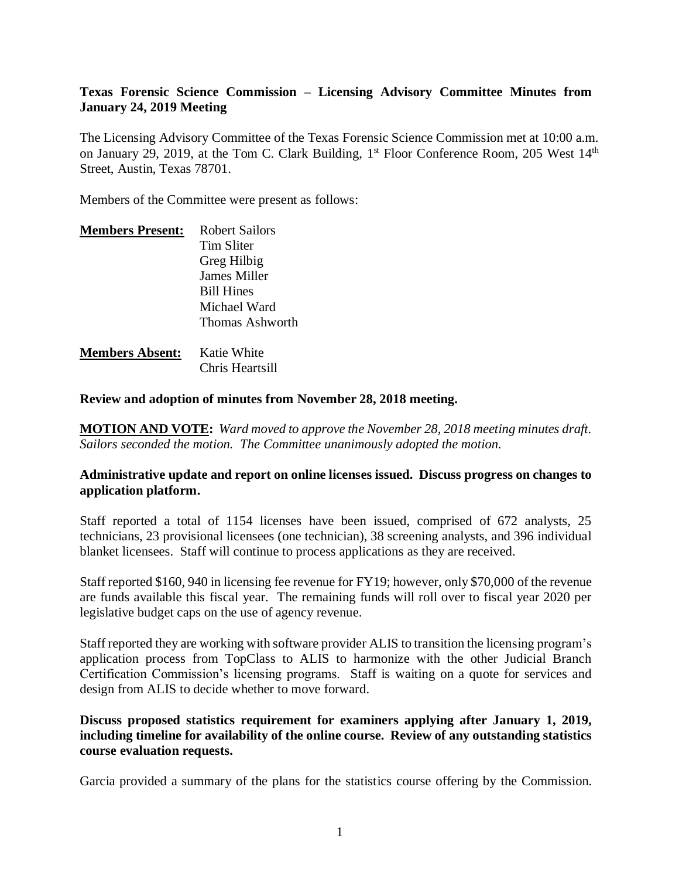### **Texas Forensic Science Commission – Licensing Advisory Committee Minutes from January 24, 2019 Meeting**

The Licensing Advisory Committee of the Texas Forensic Science Commission met at 10:00 a.m. on January 29, 2019, at the Tom C. Clark Building, 1<sup>st</sup> Floor Conference Room, 205 West 14<sup>th</sup> Street, Austin, Texas 78701.

Members of the Committee were present as follows:

| <b>Members Present:</b> | <b>Robert Sailors</b> |
|-------------------------|-----------------------|
|                         | Tim Sliter            |
|                         | Greg Hilbig           |
|                         | James Miller          |
|                         | <b>Bill Hines</b>     |
|                         | Michael Ward          |
|                         | Thomas Ashworth       |
| <b>Members Absent:</b>  | Katie White           |

Chris Heartsill

**Review and adoption of minutes from November 28, 2018 meeting.**

**MOTION AND VOTE:** *Ward moved to approve the November 28, 2018 meeting minutes draft. Sailors seconded the motion. The Committee unanimously adopted the motion.*

#### **Administrative update and report on online licenses issued. Discuss progress on changes to application platform.**

Staff reported a total of 1154 licenses have been issued, comprised of 672 analysts, 25 technicians, 23 provisional licensees (one technician), 38 screening analysts, and 396 individual blanket licensees. Staff will continue to process applications as they are received.

Staff reported \$160, 940 in licensing fee revenue for FY19; however, only \$70,000 of the revenue are funds available this fiscal year. The remaining funds will roll over to fiscal year 2020 per legislative budget caps on the use of agency revenue.

Staff reported they are working with software provider ALIS to transition the licensing program's application process from TopClass to ALIS to harmonize with the other Judicial Branch Certification Commission's licensing programs. Staff is waiting on a quote for services and design from ALIS to decide whether to move forward.

**Discuss proposed statistics requirement for examiners applying after January 1, 2019, including timeline for availability of the online course. Review of any outstanding statistics course evaluation requests.**

Garcia provided a summary of the plans for the statistics course offering by the Commission.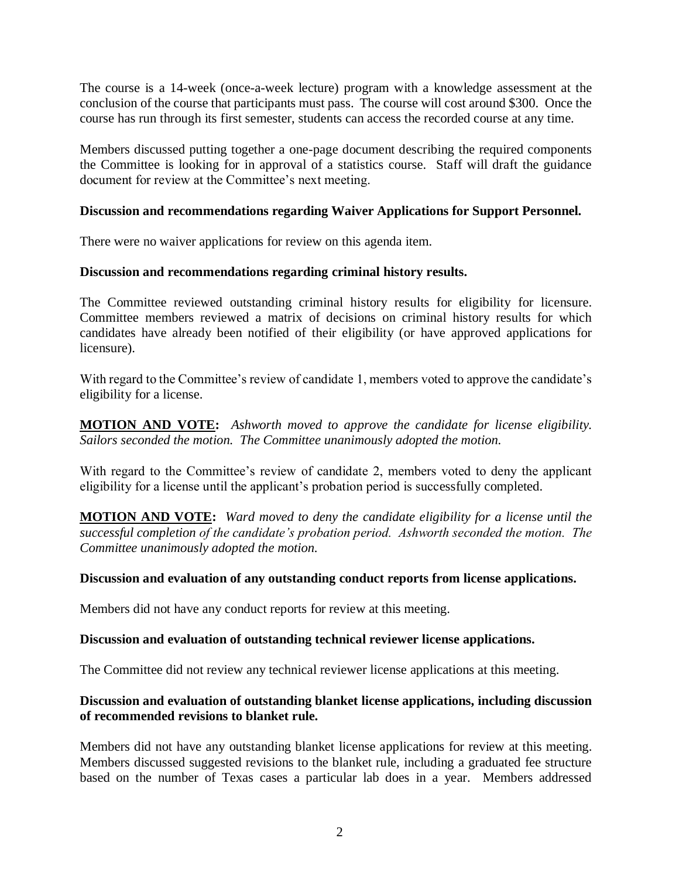The course is a 14-week (once-a-week lecture) program with a knowledge assessment at the conclusion of the course that participants must pass. The course will cost around \$300. Once the course has run through its first semester, students can access the recorded course at any time.

Members discussed putting together a one-page document describing the required components the Committee is looking for in approval of a statistics course. Staff will draft the guidance document for review at the Committee's next meeting.

#### **Discussion and recommendations regarding Waiver Applications for Support Personnel.**

There were no waiver applications for review on this agenda item.

#### **Discussion and recommendations regarding criminal history results.**

The Committee reviewed outstanding criminal history results for eligibility for licensure. Committee members reviewed a matrix of decisions on criminal history results for which candidates have already been notified of their eligibility (or have approved applications for licensure).

With regard to the Committee's review of candidate 1, members voted to approve the candidate's eligibility for a license.

**MOTION AND VOTE:** *Ashworth moved to approve the candidate for license eligibility. Sailors seconded the motion. The Committee unanimously adopted the motion.*

With regard to the Committee's review of candidate 2, members voted to deny the applicant eligibility for a license until the applicant's probation period is successfully completed.

**MOTION AND VOTE:** *Ward moved to deny the candidate eligibility for a license until the successful completion of the candidate's probation period. Ashworth seconded the motion. The Committee unanimously adopted the motion.*

#### **Discussion and evaluation of any outstanding conduct reports from license applications.**

Members did not have any conduct reports for review at this meeting.

#### **Discussion and evaluation of outstanding technical reviewer license applications.**

The Committee did not review any technical reviewer license applications at this meeting.

## **Discussion and evaluation of outstanding blanket license applications, including discussion of recommended revisions to blanket rule.**

Members did not have any outstanding blanket license applications for review at this meeting. Members discussed suggested revisions to the blanket rule, including a graduated fee structure based on the number of Texas cases a particular lab does in a year. Members addressed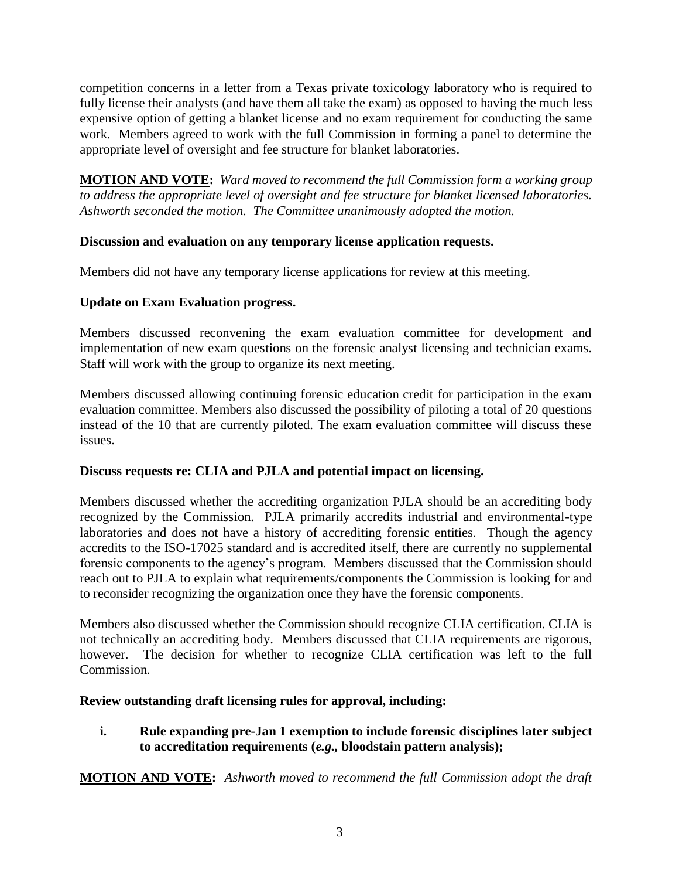competition concerns in a letter from a Texas private toxicology laboratory who is required to fully license their analysts (and have them all take the exam) as opposed to having the much less expensive option of getting a blanket license and no exam requirement for conducting the same work. Members agreed to work with the full Commission in forming a panel to determine the appropriate level of oversight and fee structure for blanket laboratories.

**MOTION AND VOTE:** *Ward moved to recommend the full Commission form a working group to address the appropriate level of oversight and fee structure for blanket licensed laboratories. Ashworth seconded the motion. The Committee unanimously adopted the motion.*

# **Discussion and evaluation on any temporary license application requests.**

Members did not have any temporary license applications for review at this meeting.

# **Update on Exam Evaluation progress.**

Members discussed reconvening the exam evaluation committee for development and implementation of new exam questions on the forensic analyst licensing and technician exams. Staff will work with the group to organize its next meeting.

Members discussed allowing continuing forensic education credit for participation in the exam evaluation committee. Members also discussed the possibility of piloting a total of 20 questions instead of the 10 that are currently piloted. The exam evaluation committee will discuss these issues.

## **Discuss requests re: CLIA and PJLA and potential impact on licensing.**

Members discussed whether the accrediting organization PJLA should be an accrediting body recognized by the Commission. PJLA primarily accredits industrial and environmental-type laboratories and does not have a history of accrediting forensic entities. Though the agency accredits to the ISO-17025 standard and is accredited itself, there are currently no supplemental forensic components to the agency's program. Members discussed that the Commission should reach out to PJLA to explain what requirements/components the Commission is looking for and to reconsider recognizing the organization once they have the forensic components.

Members also discussed whether the Commission should recognize CLIA certification. CLIA is not technically an accrediting body. Members discussed that CLIA requirements are rigorous, however. The decision for whether to recognize CLIA certification was left to the full Commission.

## **Review outstanding draft licensing rules for approval, including:**

**i. Rule expanding pre-Jan 1 exemption to include forensic disciplines later subject to accreditation requirements (***e.g.,* **bloodstain pattern analysis);**

**MOTION AND VOTE:** *Ashworth moved to recommend the full Commission adopt the draft*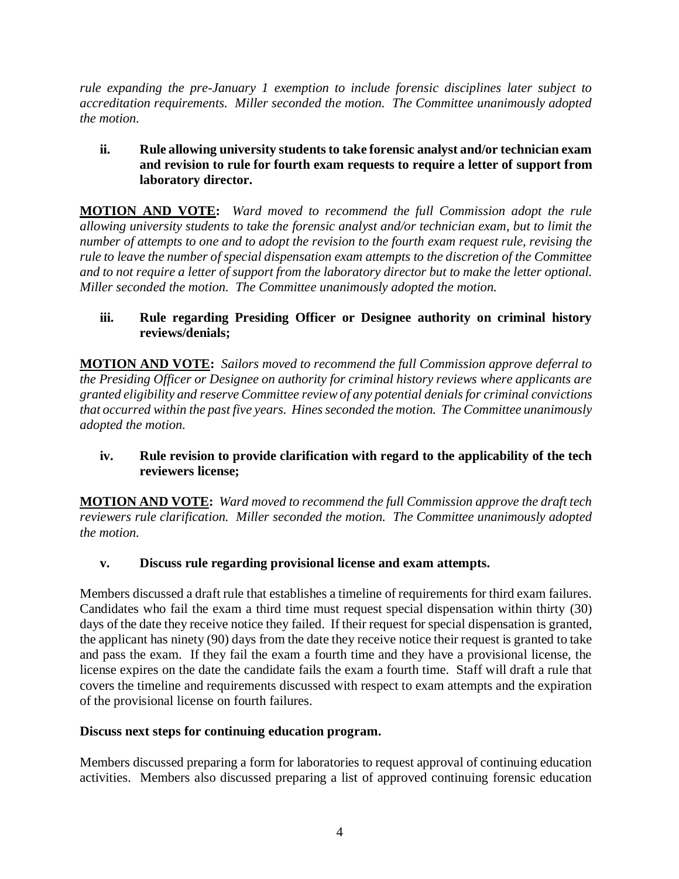*rule expanding the pre-January 1 exemption to include forensic disciplines later subject to accreditation requirements. Miller seconded the motion. The Committee unanimously adopted the motion.*

## **ii. Rule allowing university students to take forensic analyst and/or technician exam and revision to rule for fourth exam requests to require a letter of support from laboratory director.**

**MOTION AND VOTE:** *Ward moved to recommend the full Commission adopt the rule allowing university students to take the forensic analyst and/or technician exam, but to limit the number of attempts to one and to adopt the revision to the fourth exam request rule, revising the rule to leave the number of special dispensation exam attempts to the discretion of the Committee and to not require a letter of support from the laboratory director but to make the letter optional. Miller seconded the motion. The Committee unanimously adopted the motion.*

## **iii. Rule regarding Presiding Officer or Designee authority on criminal history reviews/denials;**

**MOTION AND VOTE:** *Sailors moved to recommend the full Commission approve deferral to the Presiding Officer or Designee on authority for criminal history reviews where applicants are granted eligibility and reserve Committee review of any potential denials for criminal convictions that occurred within the past five years. Hines seconded the motion. The Committee unanimously adopted the motion.*

## **iv. Rule revision to provide clarification with regard to the applicability of the tech reviewers license;**

**MOTION AND VOTE:** *Ward moved to recommend the full Commission approve the draft tech reviewers rule clarification. Miller seconded the motion. The Committee unanimously adopted the motion.*

## **v. Discuss rule regarding provisional license and exam attempts.**

Members discussed a draft rule that establishes a timeline of requirements for third exam failures. Candidates who fail the exam a third time must request special dispensation within thirty (30) days of the date they receive notice they failed. If their request for special dispensation is granted, the applicant has ninety (90) days from the date they receive notice their request is granted to take and pass the exam. If they fail the exam a fourth time and they have a provisional license, the license expires on the date the candidate fails the exam a fourth time. Staff will draft a rule that covers the timeline and requirements discussed with respect to exam attempts and the expiration of the provisional license on fourth failures.

## **Discuss next steps for continuing education program.**

Members discussed preparing a form for laboratories to request approval of continuing education activities. Members also discussed preparing a list of approved continuing forensic education